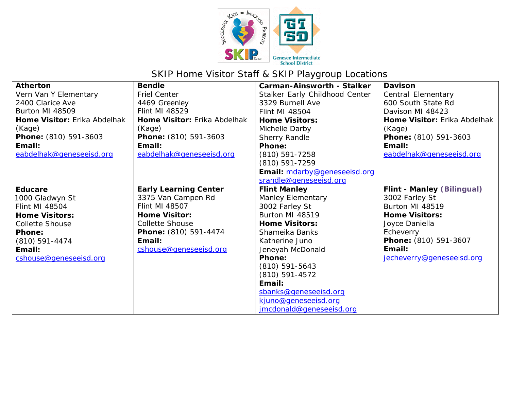

## SKIP Home Visitor Staff & SKIP Playgroup Locations

| <b>Atherton</b>              | <b>Bendle</b>                | <b>Carman-Ainsworth - Stalker</b> | <b>Davison</b>                    |
|------------------------------|------------------------------|-----------------------------------|-----------------------------------|
| Vern Van Y Elementary        | <b>Friel Center</b>          | Stalker Early Childhood Center    | Central Elementary                |
| 2400 Clarice Ave             | 4469 Greenley                | 3329 Burnell Ave                  | 600 South State Rd                |
| Burton MI 48509              | Flint MI 48529               | <b>Flint MI 48504</b>             | Davison MI 48423                  |
| Home Visitor: Erika Abdelhak | Home Visitor: Erika Abdelhak | <b>Home Visitors:</b>             | Home Visitor: Erika Abdelhak      |
| (Kage)                       | (Kage)                       | Michelle Darby                    | (Kage)                            |
| Phone: (810) 591-3603        | Phone: (810) 591-3603        | Sherry Randle                     | Phone: (810) 591-3603             |
| Email:                       | Email:                       | <b>Phone:</b>                     | Email:                            |
| eabdelhak@geneseeisd.org     | eabdelhak@geneseeisd.org     | $(810) 591 - 7258$                | eabdelhak@geneseeisd.org          |
|                              |                              | (810) 591-7259                    |                                   |
|                              |                              | Email: mdarby@geneseeisd.org      |                                   |
|                              |                              | srandle@geneseeisd.org            |                                   |
| <b>Educare</b>               | <b>Early Learning Center</b> | <b>Flint Manley</b>               | <b>Flint - Manley (Bilingual)</b> |
| 1000 Gladwyn St              | 3375 Van Campen Rd           | <b>Manley Elementary</b>          | 3002 Farley St                    |
| <b>Flint MI 48504</b>        | <b>Flint MI 48507</b>        | 3002 Farley St                    | Burton MI 48519                   |
| <b>Home Visitors:</b>        | <b>Home Visitor:</b>         | Burton MI 48519                   | <b>Home Visitors:</b>             |
| <b>Collette Shouse</b>       | <b>Collette Shouse</b>       | <b>Home Visitors:</b>             | Joyce Daniella                    |
| Phone:                       | Phone: (810) 591-4474        | Shameika Banks                    | Echeverry                         |
| $(810)$ 591-4474             | Email:                       | Katherine Juno                    | Phone: (810) 591-3607             |
| Email:                       | cshouse@geneseeisd.org       | Jeneyah McDonald                  | Email:                            |
| cshouse@geneseeisd.org       |                              | <b>Phone:</b>                     | jecheverry@geneseeisd.org         |
|                              |                              | $(810)$ 591-5643                  |                                   |
|                              |                              | $(810)$ 591-4572                  |                                   |
|                              |                              | Email:                            |                                   |
|                              |                              | sbanks@geneseeisd.org             |                                   |
|                              |                              | kjuno@geneseeisd.org              |                                   |
|                              |                              | jmcdonald@geneseeisd.org          |                                   |